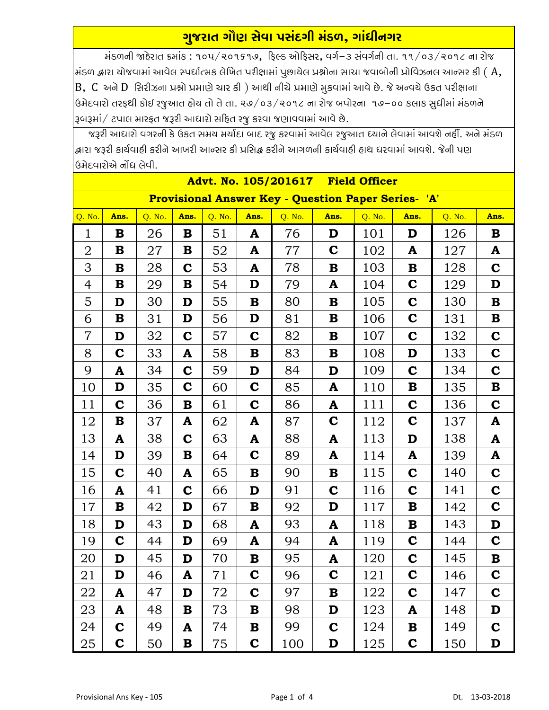## ગુજરાત ગૌણ સેવા પસંદગી મંડળ, ગાંધીનગર

મંડળની જાહેરાત ક્રમાંક: ૧૦૫/૨૦૧૬૧૭, ફિલ્ડ ઓફિસર, વર્ગ-૩ સંવર્ગની તા. ૧૧/૦૩/૨૦૧૮ ના રોજ મંડળ દ્વારા ચોજવામાં આવેલ સ્પર્ધાત્મક લેખિત પરીક્ષામાં પુછાચેલ પ્રશ્નોના સાચા જવાબોની પ્રોવિઝનલ આન્સર કી (  $\rm A$ ,  $B$ ,  $C$  અને  $D$  સિરીઝના પ્રશ્નો પ્રમાણે ચાર કી ) આથી નીચે પ્રમાણે મુકવામાં આવે છે. જે અન્વચે ઉકત પરીક્ષાના ઉમેદવારો તરફથી કોઈ રજુઆત હોય તો તે તા. ૨૭/૦૩/૨૦૧૮ ના રોજ બપોરના ૧૭–૦૦ કલાક સુધીમાં મંડળને રૂબરૂમાં/ ટપાલ મારફત જરૂરી આધારો સહિત રજૂ કરવા જણાવવામાં આવે છે.

જરૂરી આધારો વગરની કે ઉકત સમય મર્યાદા બાદ રજુ કરવામાં આવેલ રજુઆત ધ્યાને લેવામાં આવશે નહીં. અને મંડળ ્રદ્ધારા જરૂરી કાર્યવાદી કરીને આખરી આન્સર કી પ્રસિદ્ધ કરીને આગળની કાર્યવાદી હાથ ધરવામાં આવશે. જેની પણ ક્રિમેદવારોએ નોંદ્ય લેવી.

| Advt. No. 105/201617 Field Officer                         |             |        |             |        |             |        |             |        |             |        |             |  |  |
|------------------------------------------------------------|-------------|--------|-------------|--------|-------------|--------|-------------|--------|-------------|--------|-------------|--|--|
| <b>Provisional Answer Key - Question Paper Series- 'A'</b> |             |        |             |        |             |        |             |        |             |        |             |  |  |
| Q. No.                                                     | Ans.        | Q. No. | Ans.        | Q. No. | Ans.        | Q. No. | Ans.        | Q. No. | Ans.        | Q. No. | Ans.        |  |  |
| $\mathbf{1}$                                               | $\bf{B}$    | 26     | $\mathbf B$ | 51     | A           | 76     | D           | 101    | D           | 126    | $\bf{B}$    |  |  |
| $\overline{2}$                                             | $\bf{B}$    | 27     | $\bf{B}$    | 52     | A           | 77     | $\mathbf C$ | 102    | A           | 127    | A           |  |  |
| 3                                                          | $\bf{B}$    | 28     | $\mathbf C$ | 53     | A           | 78     | B           | 103    | $\bf{B}$    | 128    | $\mathbf C$ |  |  |
| 4                                                          | ${\bf B}$   | 29     | ${\bf B}$   | 54     | D           | 79     | A           | 104    | $\mathbf C$ | 129    | D           |  |  |
| 5                                                          | D           | 30     | D           | 55     | $\bf{B}$    | 80     | B           | 105    | $\mathbf C$ | 130    | $\bf{B}$    |  |  |
| 6                                                          | $\bf{B}$    | 31     | D           | 56     | D           | 81     | B           | 106    | $\mathbf C$ | 131    | $\mathbf B$ |  |  |
| $\overline{7}$                                             | D           | 32     | $\mathbf C$ | 57     | $\mathbf C$ | 82     | B           | 107    | $\mathbf C$ | 132    | $\mathbf C$ |  |  |
| 8                                                          | $\mathbf C$ | 33     | A           | 58     | $\bf{B}$    | 83     | B           | 108    | D           | 133    | $\mathbf C$ |  |  |
| 9                                                          | A           | 34     | $\mathbf C$ | 59     | D           | 84     | D           | 109    | $\mathbf C$ | 134    | $\mathbf C$ |  |  |
| 10                                                         | D           | 35     | $\mathbf C$ | 60     | $\mathbf C$ | 85     | A           | 110    | $\bf{B}$    | 135    | $\mathbf B$ |  |  |
| 11                                                         | $\mathbf C$ | 36     | ${\bf B}$   | 61     | $\mathbf C$ | 86     | A           | 111    | $\mathbf C$ | 136    | $\mathbf C$ |  |  |
| 12                                                         | ${\bf B}$   | 37     | A           | 62     | A           | 87     | $\mathbf C$ | 112    | $\mathbf C$ | 137    | A           |  |  |
| 13                                                         | A           | 38     | $\mathbf C$ | 63     | A           | 88     | A           | 113    | D           | 138    | A           |  |  |
| 14                                                         | D           | 39     | $\bf{B}$    | 64     | $\mathbf C$ | 89     | A           | 114    | A           | 139    | A           |  |  |
| 15                                                         | $\mathbf C$ | 40     | A           | 65     | $\bf{B}$    | 90     | B           | 115    | $\mathbf C$ | 140    | $\mathbf C$ |  |  |
| 16                                                         | A           | 41     | $\mathbf C$ | 66     | D           | 91     | $\mathbf C$ | 116    | $\mathbf C$ | 141    | $\mathbf C$ |  |  |
| 17                                                         | $\bf{B}$    | 42     | D           | 67     | $\bf{B}$    | 92     | D           | 117    | $\bf{B}$    | 142    | $\mathbf C$ |  |  |
| 18                                                         | D           | 43     | D           | 68     | A           | 93     | A           | 118    | $\bf{B}$    | 143    | D           |  |  |
| 19                                                         | $\mathbf C$ | 44     | D           | 69     | A           | 94     | A           | 119    | $\mathbf C$ | 144    | $\mathbf C$ |  |  |
| 20                                                         | D           | 45     | D           | 70     | B           | 95     | A           | 120    | $\mathbf C$ | 145    | ${\bf B}$   |  |  |
| 21                                                         | D           | 46     | A           | 71     | $\bf C$     | 96     | C           | 121    | C           | 146    | C           |  |  |
| 22                                                         | A           | 47     | D           | 72     | $\mathbf C$ | 97     | B           | 122    | $\mathbf C$ | 147    | $\mathbf C$ |  |  |
| 23                                                         | A           | 48     | $\bf{B}$    | 73     | B           | 98     | D           | 123    | A           | 148    | D           |  |  |
| 24                                                         | $\mathbf C$ | 49     | A           | 74     | $\bf{B}$    | 99     | $\mathbf C$ | 124    | B           | 149    | $\mathbf C$ |  |  |
| 25                                                         | $\mathbf C$ | 50     | B           | 75     | $\mathbf C$ | 100    | D           | 125    | $\mathbf C$ | 150    | D           |  |  |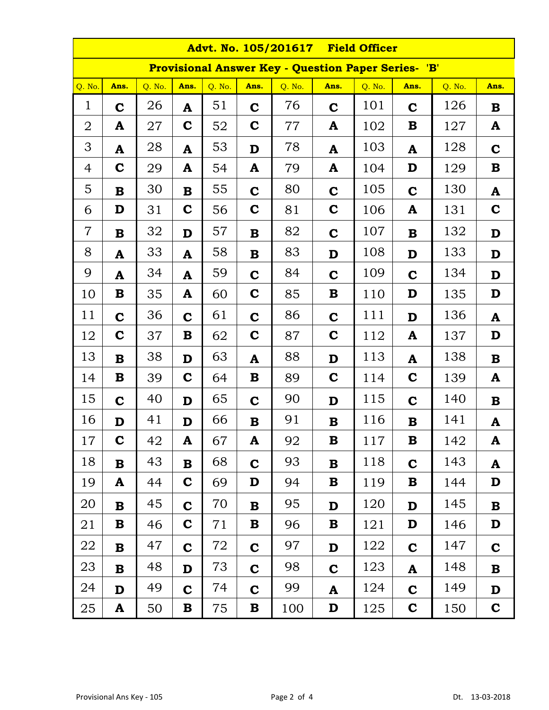| Advt. No. 105/201617 Field Officer                         |              |        |             |        |             |        |             |        |              |        |             |  |
|------------------------------------------------------------|--------------|--------|-------------|--------|-------------|--------|-------------|--------|--------------|--------|-------------|--|
| <b>Provisional Answer Key - Question Paper Series- 'B'</b> |              |        |             |        |             |        |             |        |              |        |             |  |
| $Q.$ No.                                                   | Ans.         | Q. No. | Ans.        | Q. No. | Ans.        | Q. No. | Ans.        | Q. No. | Ans.         | Q. No. | Ans.        |  |
| $\mathbf{1}$                                               | $\mathbf C$  | 26     | ${\bf A}$   | 51     | $\mathbf C$ | 76     | $\mathbf C$ | 101    | $\mathbf C$  | 126    | $\bf{B}$    |  |
| $\overline{2}$                                             | A            | 27     | $\mathbf C$ | 52     | $\mathbf C$ | 77     | A           | 102    | B            | 127    | A           |  |
| 3                                                          | A            | 28     | A           | 53     | D           | 78     | A           | 103    | A            | 128    | $\mathbf C$ |  |
| $\overline{4}$                                             | $\mathbf C$  | 29     | A           | 54     | A           | 79     | A           | 104    | D            | 129    | $\bf{B}$    |  |
| 5                                                          | $\bf{B}$     | 30     | $\bf{B}$    | 55     | $\mathbf C$ | 80     | $\mathbf C$ | 105    | $\mathbf C$  | 130    | A           |  |
| 6                                                          | D            | 31     | $\mathbf C$ | 56     | $\mathbf C$ | 81     | $\mathbf C$ | 106    | A            | 131    | $\mathbf C$ |  |
| $\overline{7}$                                             | $\bf{B}$     | 32     | D           | 57     | $\mathbf B$ | 82     | $\mathbf C$ | 107    | $\mathbf{B}$ | 132    | D           |  |
| 8                                                          | A            | 33     | A           | 58     | $\mathbf B$ | 83     | D           | 108    | D            | 133    | D           |  |
| 9                                                          | A            | 34     | ${\bf A}$   | 59     | $\mathbf C$ | 84     | $\mathbf C$ | 109    | $\mathbf C$  | 134    | D           |  |
| 10                                                         | $\bf{B}$     | 35     | A           | 60     | $\mathbf C$ | 85     | $\bf{B}$    | 110    | D            | 135    | D           |  |
| 11                                                         | $\mathbf C$  | 36     | $\mathbf C$ | 61     | $\mathbf C$ | 86     | $\mathbf C$ | 111    | D            | 136    | ${\bf A}$   |  |
| 12                                                         | $\mathbf C$  | 37     | B           | 62     | $\mathbf C$ | 87     | $\mathbf C$ | 112    | A            | 137    | D           |  |
| 13                                                         | $\mathbf{B}$ | 38     | D           | 63     | A           | 88     | D           | 113    | A            | 138    | $\bf{B}$    |  |
| 14                                                         | $\bf{B}$     | 39     | $\mathbf C$ | 64     | B           | 89     | $\mathbf C$ | 114    | $\mathbf C$  | 139    | ${\bf A}$   |  |
| 15                                                         | $\mathbf C$  | 40     | D           | 65     | $\mathbf C$ | 90     | D           | 115    | $\mathbf C$  | 140    | $\bf{B}$    |  |
| 16                                                         | D            | 41     | D           | 66     | B           | 91     | B           | 116    | B            | 141    | A           |  |
| 17                                                         | $\mathbf C$  | 42     | A           | 67     | A           | 92     | B           | 117    | $\bf{B}$     | 142    | A           |  |
| 18                                                         | $\mathbf{B}$ | 43     | $\bf{B}$    | 68     | $\mathbf C$ | 93     | B           | 118    | $\mathbf C$  | 143    | A           |  |
| 19                                                         | A            | 44     | $\mathbf C$ | 69     | D           | 94     | B           | 119    | B            | 144    | D           |  |
| 20                                                         | $\bf{B}$     | 45     | $\mathbf C$ | 70     | $\mathbf B$ | 95     | D           | 120    | D            | 145    | $\bf{B}$    |  |
| 21                                                         | B            | 46     | $\mathbf C$ | 71     | B           | 96     | B           | 121    | D            | 146    | D           |  |
| 22                                                         | $\bf{B}$     | 47     | $\mathbf C$ | 72     | $\mathbf C$ | 97     | D           | 122    | $\mathbf C$  | 147    | $\mathbf C$ |  |
| 23                                                         | $\bf{B}$     | 48     | D           | 73     | $\mathbf C$ | 98     | $\mathbf C$ | 123    | A            | 148    | ${\bf B}$   |  |
| 24                                                         | D            | 49     | $\mathbf C$ | 74     | $\mathbf C$ | 99     | A           | 124    | $\mathbf C$  | 149    | D           |  |
| 25                                                         | A            | 50     | $\bf{B}$    | 75     | $\bf{B}$    | 100    | D           | 125    | $\mathbf C$  | 150    | $\mathbf C$ |  |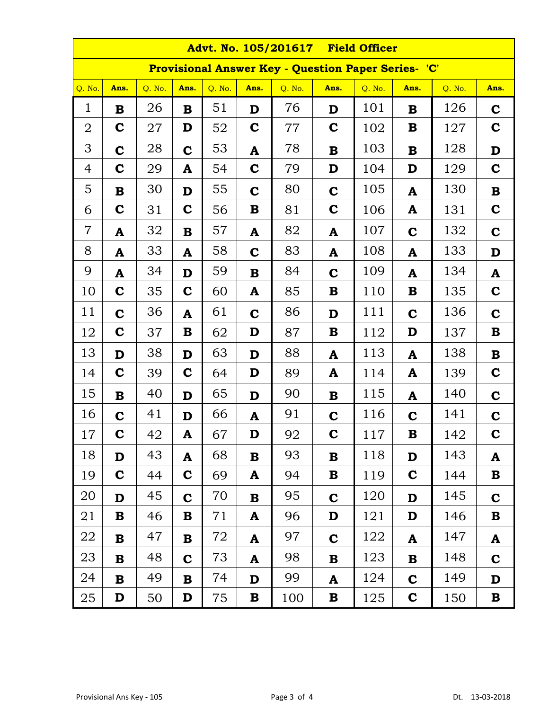| <b>Advt. No. 105/201617</b><br><b>Field Officer</b>        |             |        |              |        |             |        |             |        |             |        |             |  |
|------------------------------------------------------------|-------------|--------|--------------|--------|-------------|--------|-------------|--------|-------------|--------|-------------|--|
| <b>Provisional Answer Key - Question Paper Series- 'C'</b> |             |        |              |        |             |        |             |        |             |        |             |  |
| Q. No.                                                     | Ans.        | Q. No. | Ans.         | Q. No. | Ans.        | Q. No. | Ans.        | Q. No. | Ans.        | Q. No. | Ans.        |  |
| $\mathbf{1}$                                               | $\bf{B}$    | 26     | $\bf{B}$     | 51     | D           | 76     | D           | 101    | $\bf{B}$    | 126    | $\mathbf C$ |  |
| $\overline{2}$                                             | $\mathbf C$ | 27     | D            | 52     | $\mathbf C$ | 77     | $\mathbf C$ | 102    | B           | 127    | $\mathbf C$ |  |
| 3                                                          | $\mathbf C$ | 28     | $\mathbf C$  | 53     | A           | 78     | B           | 103    | $\mathbf B$ | 128    | D           |  |
| 4                                                          | $\mathbf C$ | 29     | ${\bf A}$    | 54     | $\mathbf C$ | 79     | D           | 104    | D           | 129    | $\mathbf C$ |  |
| 5                                                          | $\bf{B}$    | 30     | D            | 55     | $\mathbf C$ | 80     | $\mathbf C$ | 105    | ${\bf A}$   | 130    | ${\bf B}$   |  |
| 6                                                          | $\mathbf C$ | 31     | $\mathbf C$  | 56     | $\bf{B}$    | 81     | $\mathbf C$ | 106    | A           | 131    | $\mathbf C$ |  |
| $\overline{7}$                                             | A           | 32     | $\bf{B}$     | 57     | A           | 82     | A           | 107    | $\mathbf C$ | 132    | $\mathbf C$ |  |
| 8                                                          | A           | 33     | A            | 58     | $\mathbf C$ | 83     | A           | 108    | A           | 133    | D           |  |
| 9                                                          | A           | 34     | D            | 59     | $\bf{B}$    | 84     | $\mathbf C$ | 109    | ${\bf A}$   | 134    | A           |  |
| 10                                                         | $\mathbf C$ | 35     | $\mathbf C$  | 60     | A           | 85     | B           | 110    | $\bf{B}$    | 135    | $\mathbf C$ |  |
| 11                                                         | $\mathbf C$ | 36     | ${\bf A}$    | 61     | $\mathbf C$ | 86     | D           | 111    | $\mathbf C$ | 136    | $\mathbf C$ |  |
| 12                                                         | $\mathbf C$ | 37     | $\bf{B}$     | 62     | D           | 87     | B           | 112    | D           | 137    | $\bf{B}$    |  |
| 13                                                         | D           | 38     | D            | 63     | D           | 88     | A           | 113    | ${\bf A}$   | 138    | $\mathbf B$ |  |
| 14                                                         | $\mathbf C$ | 39     | $\mathbf C$  | 64     | D           | 89     | A           | 114    | A           | 139    | $\mathbf C$ |  |
| 15                                                         | $\mathbf B$ | 40     | D            | 65     | D           | 90     | B           | 115    | A           | 140    | $\mathbf C$ |  |
| 16                                                         | $\mathbf C$ | 41     | D            | 66     | A           | 91     | $\mathbf C$ | 116    | $\mathbf C$ | 141    | $\mathbf C$ |  |
| 17                                                         | $\mathbf C$ | 42     | A            | 67     | D           | 92     | $\mathbf C$ | 117    | $\mathbf B$ | 142    | $\mathbf C$ |  |
| 18                                                         | D           | 43     | $\mathbf{A}$ | 68     | B           | 93     | B           | 118    | D           | 143    | A           |  |
| 19                                                         | $\mathbf C$ | 44     | $\mathbf C$  | 69     | A           | 94     | B           | 119    | $\mathbf C$ | 144    | $\bf{B}$    |  |
| 20                                                         | D           | 45     | $\mathbf C$  | 70     | B           | 95     | $\mathbf C$ | 120    | D           | 145    | $\mathbf C$ |  |
| 21                                                         | ${\bf B}$   | 46     | B            | 71     | A           | 96     | D           | 121    | D           | 146    | $\bf{B}$    |  |
| 22                                                         | $\mathbf B$ | 47     | $\mathbf{B}$ | 72     | A           | 97     | $\mathbf C$ | 122    | A           | 147    | A           |  |
| 23                                                         | $\bf{B}$    | 48     | $\mathbf C$  | 73     | A           | 98     | B           | 123    | $\mathbf B$ | 148    | $\mathbf C$ |  |
| 24                                                         | $\bf{B}$    | 49     | $\bf{B}$     | 74     | D           | 99     | A           | 124    | $\mathbf C$ | 149    | D           |  |
| 25                                                         | D           | 50     | D            | 75     | $\bf{B}$    | 100    | B           | 125    | $\mathbf C$ | 150    | $\mathbf B$ |  |